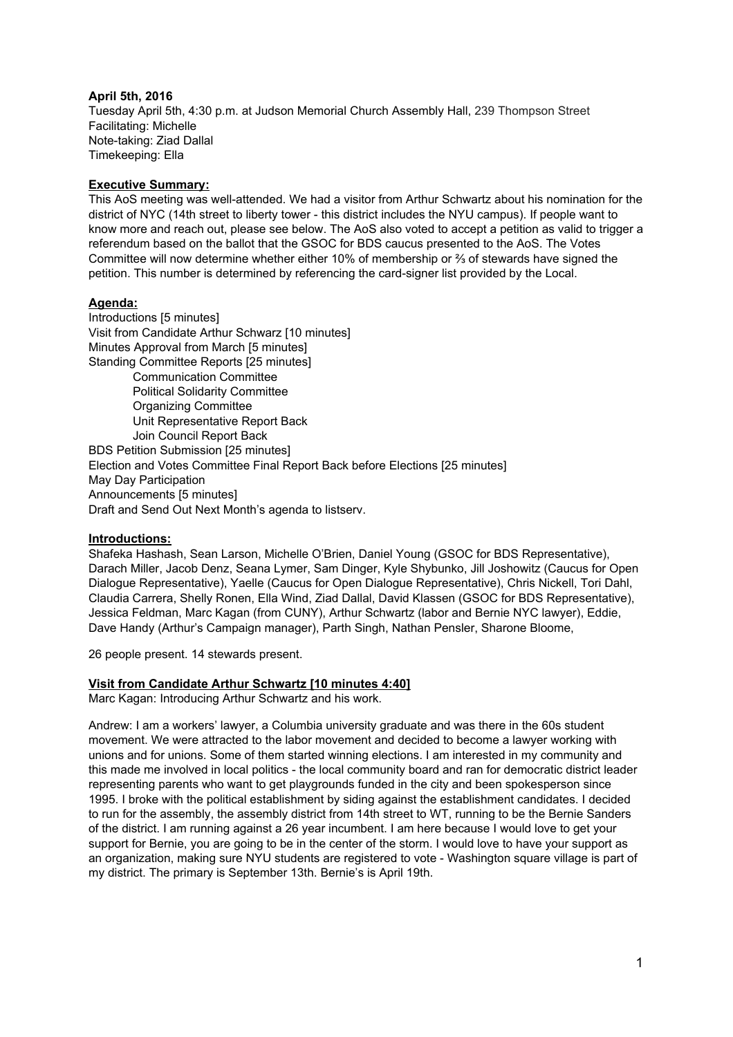## **April 5th, 2016**

Tuesday April 5th, 4:30 p.m. at Judson Memorial Church Assembly Hall, 239 Thompson Street Facilitating: Michelle Note-taking: Ziad Dallal Timekeeping: Ella

## **Executive Summary:**

This AoS meeting was well-attended. We had a visitor from Arthur Schwartz about his nomination for the district of NYC (14th street to liberty tower - this district includes the NYU campus). If people want to know more and reach out, please see below. The AoS also voted to accept a petition as valid to trigger a referendum based on the ballot that the GSOC for BDS caucus presented to the AoS. The Votes Committee will now determine whether either 10% of membership or ⅔ of stewards have signed the petition. This number is determined by referencing the card-signer list provided by the Local.

# **Agenda:**

Introductions [5 minutes] Visit from Candidate Arthur Schwarz [10 minutes] Minutes Approval from March [5 minutes] Standing Committee Reports [25 minutes] Communication Committee Political Solidarity Committee Organizing Committee Unit Representative Report Back Join Council Report Back BDS Petition Submission [25 minutes] Election and Votes Committee Final Report Back before Elections [25 minutes] May Day Participation Announcements [5 minutes] Draft and Send Out Next Month's agenda to listserv.

## **Introductions:**

Shafeka Hashash, Sean Larson, Michelle O'Brien, Daniel Young (GSOC for BDS Representative), Darach Miller, Jacob Denz, Seana Lymer, Sam Dinger, Kyle Shybunko, Jill Joshowitz (Caucus for Open Dialogue Representative), Yaelle (Caucus for Open Dialogue Representative), Chris Nickell, Tori Dahl, Claudia Carrera, Shelly Ronen, Ella Wind, Ziad Dallal, David Klassen (GSOC for BDS Representative), Jessica Feldman, Marc Kagan (from CUNY), Arthur Schwartz (labor and Bernie NYC lawyer), Eddie, Dave Handy (Arthur's Campaign manager), Parth Singh, Nathan Pensler, Sharone Bloome,

26 people present. 14 stewards present.

## **Visit from Candidate Arthur Schwartz [10 minutes 4:40]**

Marc Kagan: Introducing Arthur Schwartz and his work.

Andrew: I am a workers' lawyer, a Columbia university graduate and was there in the 60s student movement. We were attracted to the labor movement and decided to become a lawyer working with unions and for unions. Some of them started winning elections. I am interested in my community and this made me involved in local politics - the local community board and ran for democratic district leader representing parents who want to get playgrounds funded in the city and been spokesperson since 1995. I broke with the political establishment by siding against the establishment candidates. I decided to run for the assembly, the assembly district from 14th street to WT, running to be the Bernie Sanders of the district. I am running against a 26 year incumbent. I am here because I would love to get your support for Bernie, you are going to be in the center of the storm. I would love to have your support as an organization, making sure NYU students are registered to vote - Washington square village is part of my district. The primary is September 13th. Bernie's is April 19th.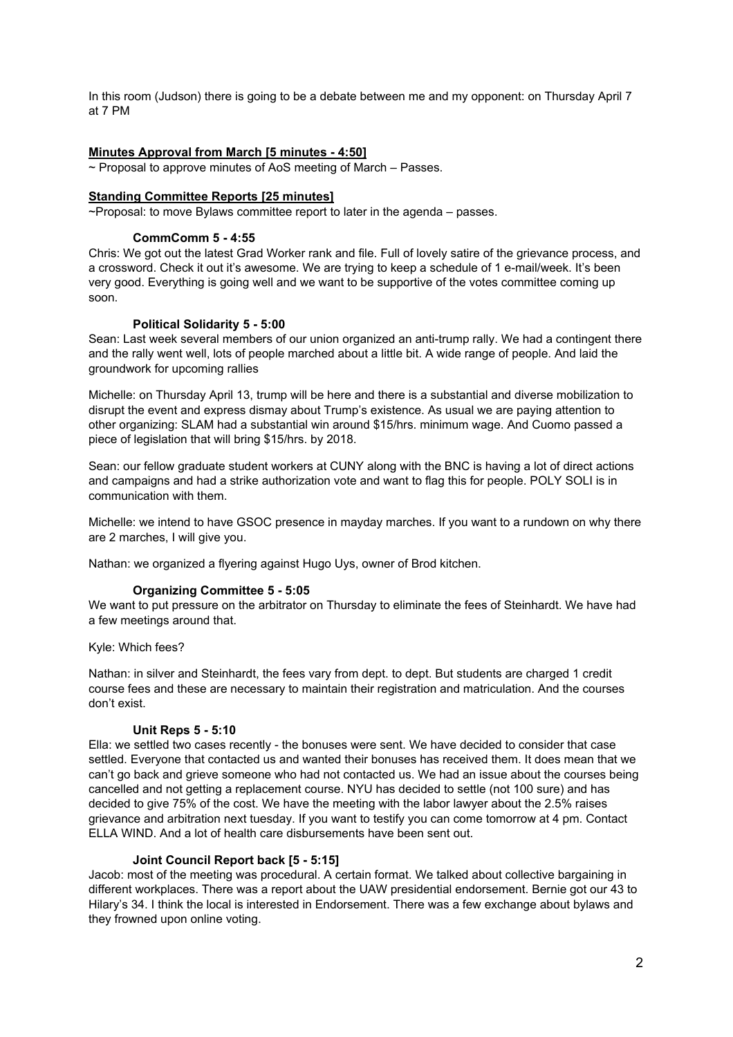In this room (Judson) there is going to be a debate between me and my opponent: on Thursday April 7 at 7 PM

## **Minutes Approval from March [5 minutes 4:50]**

~ Proposal to approve minutes of AoS meeting of March – Passes.

## **Standing Committee Reports [25 minutes]**

~Proposal: to move Bylaws committee report to later in the agenda – passes.

#### **CommComm 5 4:55**

Chris: We got out the latest Grad Worker rank and file. Full of lovely satire of the grievance process, and a crossword. Check it out it's awesome. We are trying to keep a schedule of 1 e-mail/week. It's been very good. Everything is going well and we want to be supportive of the votes committee coming up soon.

#### **Political Solidarity 5 5:00**

Sean: Last week several members of our union organized an anti-trump rally. We had a contingent there and the rally went well, lots of people marched about a little bit. A wide range of people. And laid the groundwork for upcoming rallies

Michelle: on Thursday April 13, trump will be here and there is a substantial and diverse mobilization to disrupt the event and express dismay about Trump's existence. As usual we are paying attention to other organizing: SLAM had a substantial win around \$15/hrs. minimum wage. And Cuomo passed a piece of legislation that will bring \$15/hrs. by 2018.

Sean: our fellow graduate student workers at CUNY along with the BNC is having a lot of direct actions and campaigns and had a strike authorization vote and want to flag this for people. POLY SOLI is in communication with them.

Michelle: we intend to have GSOC presence in mayday marches. If you want to a rundown on why there are 2 marches, I will give you.

Nathan: we organized a flyering against Hugo Uys, owner of Brod kitchen.

#### **Organizing Committee 5 5:05**

We want to put pressure on the arbitrator on Thursday to eliminate the fees of Steinhardt. We have had a few meetings around that.

Kyle: Which fees?

Nathan: in silver and Steinhardt, the fees vary from dept. to dept. But students are charged 1 credit course fees and these are necessary to maintain their registration and matriculation. And the courses don't exist.

#### **Unit Reps 5 5:10**

Ella: we settled two cases recently - the bonuses were sent. We have decided to consider that case settled. Everyone that contacted us and wanted their bonuses has received them. It does mean that we can't go back and grieve someone who had not contacted us. We had an issue about the courses being cancelled and not getting a replacement course. NYU has decided to settle (not 100 sure) and has decided to give 75% of the cost. We have the meeting with the labor lawyer about the 2.5% raises grievance and arbitration next tuesday. If you want to testify you can come tomorrow at 4 pm. Contact ELLA WIND. And a lot of health care disbursements have been sent out.

#### **Joint Council Report back [5 5:15]**

Jacob: most of the meeting was procedural. A certain format. We talked about collective bargaining in different workplaces. There was a report about the UAW presidential endorsement. Bernie got our 43 to Hilary's 34. I think the local is interested in Endorsement. There was a few exchange about bylaws and they frowned upon online voting.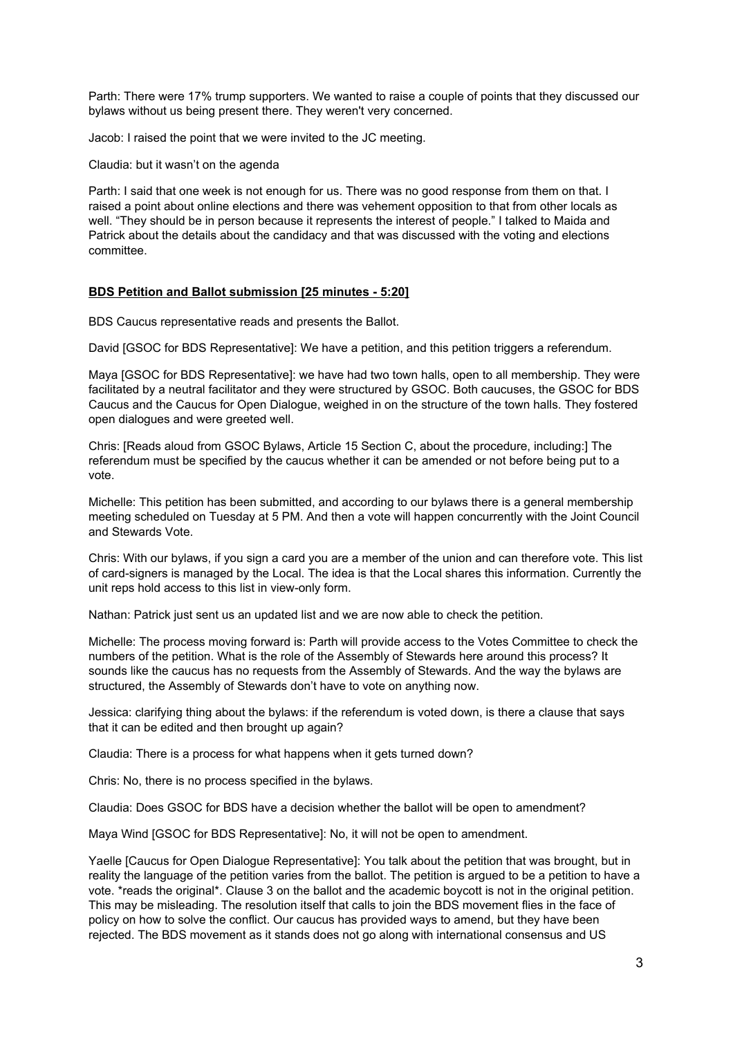Parth: There were 17% trump supporters. We wanted to raise a couple of points that they discussed our bylaws without us being present there. They weren't very concerned.

Jacob: I raised the point that we were invited to the JC meeting.

Claudia: but it wasn't on the agenda

Parth: I said that one week is not enough for us. There was no good response from them on that. I raised a point about online elections and there was vehement opposition to that from other locals as well. "They should be in person because it represents the interest of people." I talked to Maida and Patrick about the details about the candidacy and that was discussed with the voting and elections committee.

#### **BDS Petition and Ballot submission [25 minutes 5:20]**

BDS Caucus representative reads and presents the Ballot.

David [GSOC for BDS Representative]: We have a petition, and this petition triggers a referendum.

Maya [GSOC for BDS Representative]: we have had two town halls, open to all membership. They were facilitated by a neutral facilitator and they were structured by GSOC. Both caucuses, the GSOC for BDS Caucus and the Caucus for Open Dialogue, weighed in on the structure of the town halls. They fostered open dialogues and were greeted well.

Chris: [Reads aloud from GSOC Bylaws, Article 15 Section C, about the procedure, including:] The referendum must be specified by the caucus whether it can be amended or not before being put to a vote.

Michelle: This petition has been submitted, and according to our bylaws there is a general membership meeting scheduled on Tuesday at 5 PM. And then a vote will happen concurrently with the Joint Council and Stewards Vote.

Chris: With our bylaws, if you sign a card you are a member of the union and can therefore vote. This list of card-signers is managed by the Local. The idea is that the Local shares this information. Currently the unit reps hold access to this list in view-only form.

Nathan: Patrick just sent us an updated list and we are now able to check the petition.

Michelle: The process moving forward is: Parth will provide access to the Votes Committee to check the numbers of the petition. What is the role of the Assembly of Stewards here around this process? It sounds like the caucus has no requests from the Assembly of Stewards. And the way the bylaws are structured, the Assembly of Stewards don't have to vote on anything now.

Jessica: clarifying thing about the bylaws: if the referendum is voted down, is there a clause that says that it can be edited and then brought up again?

Claudia: There is a process for what happens when it gets turned down?

Chris: No, there is no process specified in the bylaws.

Claudia: Does GSOC for BDS have a decision whether the ballot will be open to amendment?

Maya Wind [GSOC for BDS Representative]: No, it will not be open to amendment.

Yaelle [Caucus for Open Dialogue Representative]: You talk about the petition that was brought, but in reality the language of the petition varies from the ballot. The petition is argued to be a petition to have a vote. \*reads the original\*. Clause 3 on the ballot and the academic boycott is not in the original petition. This may be misleading. The resolution itself that calls to join the BDS movement flies in the face of policy on how to solve the conflict. Our caucus has provided ways to amend, but they have been rejected. The BDS movement as it stands does not go along with international consensus and US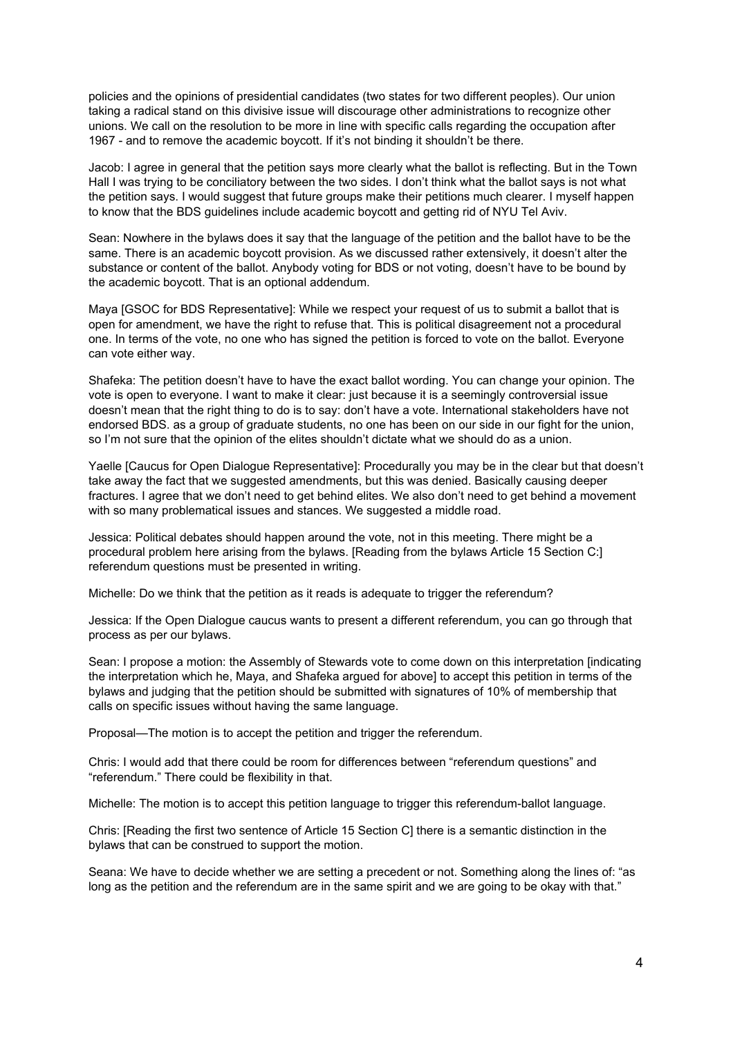policies and the opinions of presidential candidates (two states for two different peoples). Our union taking a radical stand on this divisive issue will discourage other administrations to recognize other unions. We call on the resolution to be more in line with specific calls regarding the occupation after 1967 - and to remove the academic boycott. If it's not binding it shouldn't be there.

Jacob: I agree in general that the petition says more clearly what the ballot is reflecting. But in the Town Hall I was trying to be conciliatory between the two sides. I don't think what the ballot says is not what the petition says. I would suggest that future groups make their petitions much clearer. I myself happen to know that the BDS guidelines include academic boycott and getting rid of NYU Tel Aviv.

Sean: Nowhere in the bylaws does it say that the language of the petition and the ballot have to be the same. There is an academic boycott provision. As we discussed rather extensively, it doesn't alter the substance or content of the ballot. Anybody voting for BDS or not voting, doesn't have to be bound by the academic boycott. That is an optional addendum.

Maya [GSOC for BDS Representative]: While we respect your request of us to submit a ballot that is open for amendment, we have the right to refuse that. This is political disagreement not a procedural one. In terms of the vote, no one who has signed the petition is forced to vote on the ballot. Everyone can vote either way.

Shafeka: The petition doesn't have to have the exact ballot wording. You can change your opinion. The vote is open to everyone. I want to make it clear: just because it is a seemingly controversial issue doesn't mean that the right thing to do is to say: don't have a vote. International stakeholders have not endorsed BDS. as a group of graduate students, no one has been on our side in our fight for the union, so I'm not sure that the opinion of the elites shouldn't dictate what we should do as a union.

Yaelle [Caucus for Open Dialogue Representative]: Procedurally you may be in the clear but that doesn't take away the fact that we suggested amendments, but this was denied. Basically causing deeper fractures. I agree that we don't need to get behind elites. We also don't need to get behind a movement with so many problematical issues and stances. We suggested a middle road.

Jessica: Political debates should happen around the vote, not in this meeting. There might be a procedural problem here arising from the bylaws. [Reading from the bylaws Article 15 Section C:] referendum questions must be presented in writing.

Michelle: Do we think that the petition as it reads is adequate to trigger the referendum?

Jessica: If the Open Dialogue caucus wants to present a different referendum, you can go through that process as per our bylaws.

Sean: I propose a motion: the Assembly of Stewards vote to come down on this interpretation [indicating the interpretation which he, Maya, and Shafeka argued for above] to accept this petition in terms of the bylaws and judging that the petition should be submitted with signatures of 10% of membership that calls on specific issues without having the same language.

Proposal—The motion is to accept the petition and trigger the referendum.

Chris: I would add that there could be room for differences between "referendum questions" and "referendum." There could be flexibility in that.

Michelle: The motion is to accept this petition language to trigger this referendum-ballot language.

Chris: [Reading the first two sentence of Article 15 Section C] there is a semantic distinction in the bylaws that can be construed to support the motion.

Seana: We have to decide whether we are setting a precedent or not. Something along the lines of: "as long as the petition and the referendum are in the same spirit and we are going to be okay with that."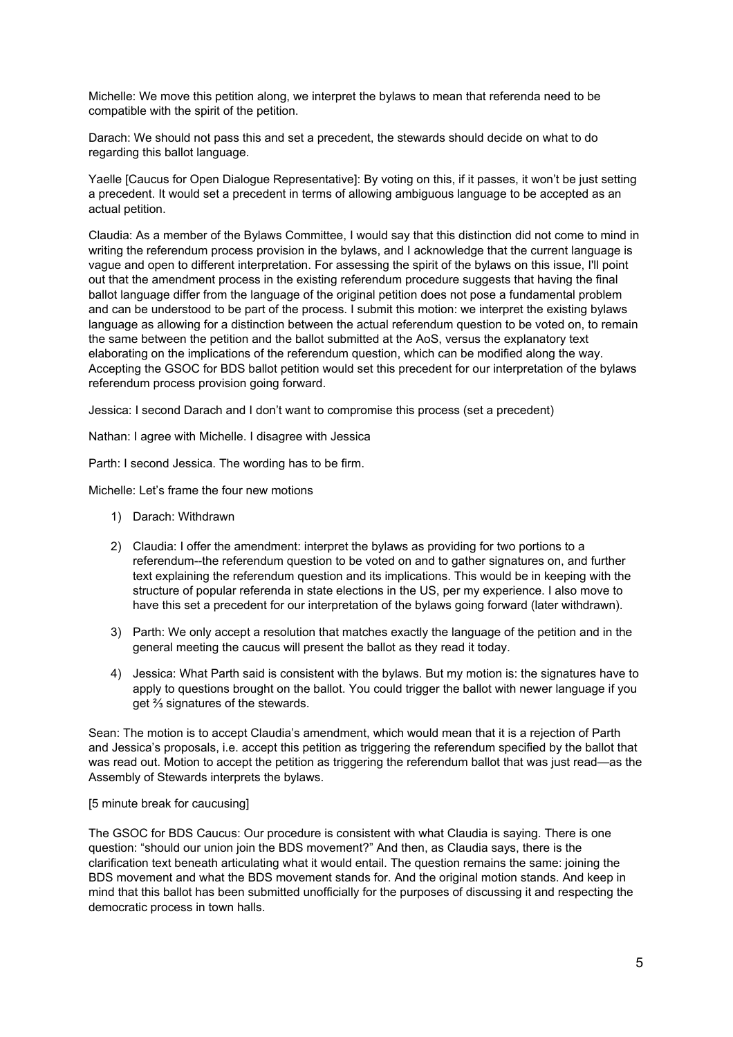Michelle: We move this petition along, we interpret the bylaws to mean that referenda need to be compatible with the spirit of the petition.

Darach: We should not pass this and set a precedent, the stewards should decide on what to do regarding this ballot language.

Yaelle [Caucus for Open Dialogue Representative]: By voting on this, if it passes, it won't be just setting a precedent. It would set a precedent in terms of allowing ambiguous language to be accepted as an actual petition.

Claudia: As a member of the Bylaws Committee, I would say that this distinction did not come to mind in writing the referendum process provision in the bylaws, and I acknowledge that the current language is vague and open to different interpretation. For assessing the spirit of the bylaws on this issue, I'll point out that the amendment process in the existing referendum procedure suggests that having the final ballot language differ from the language of the original petition does not pose a fundamental problem and can be understood to be part of the process. I submit this motion: we interpret the existing bylaws language as allowing for a distinction between the actual referendum question to be voted on, to remain the same between the petition and the ballot submitted at the AoS, versus the explanatory text elaborating on the implications of the referendum question, which can be modified along the way. Accepting the GSOC for BDS ballot petition would set this precedent for our interpretation of the bylaws referendum process provision going forward.

Jessica: I second Darach and I don't want to compromise this process (set a precedent)

Nathan: I agree with Michelle. I disagree with Jessica

Parth: I second Jessica. The wording has to be firm.

Michelle: Let's frame the four new motions

- 1) Darach: Withdrawn
- 2) Claudia: I offer the amendment: interpret the bylaws as providing for two portions to a referendum--the referendum question to be voted on and to gather signatures on, and further text explaining the referendum question and its implications. This would be in keeping with the structure of popular referenda in state elections in the US, per my experience. I also move to have this set a precedent for our interpretation of the bylaws going forward (later withdrawn).
- 3) Parth: We only accept a resolution that matches exactly the language of the petition and in the general meeting the caucus will present the ballot as they read it today.
- 4) Jessica: What Parth said is consistent with the bylaws. But my motion is: the signatures have to apply to questions brought on the ballot. You could trigger the ballot with newer language if you get ⅔ signatures of the stewards.

Sean: The motion is to accept Claudia's amendment, which would mean that it is a rejection of Parth and Jessica's proposals, i.e. accept this petition as triggering the referendum specified by the ballot that was read out. Motion to accept the petition as triggering the referendum ballot that was just read—as the Assembly of Stewards interprets the bylaws.

[5 minute break for caucusing]

The GSOC for BDS Caucus: Our procedure is consistent with what Claudia is saying. There is one question: "should our union join the BDS movement?" And then, as Claudia says, there is the clarification text beneath articulating what it would entail. The question remains the same: joining the BDS movement and what the BDS movement stands for. And the original motion stands. And keep in mind that this ballot has been submitted unofficially for the purposes of discussing it and respecting the democratic process in town halls.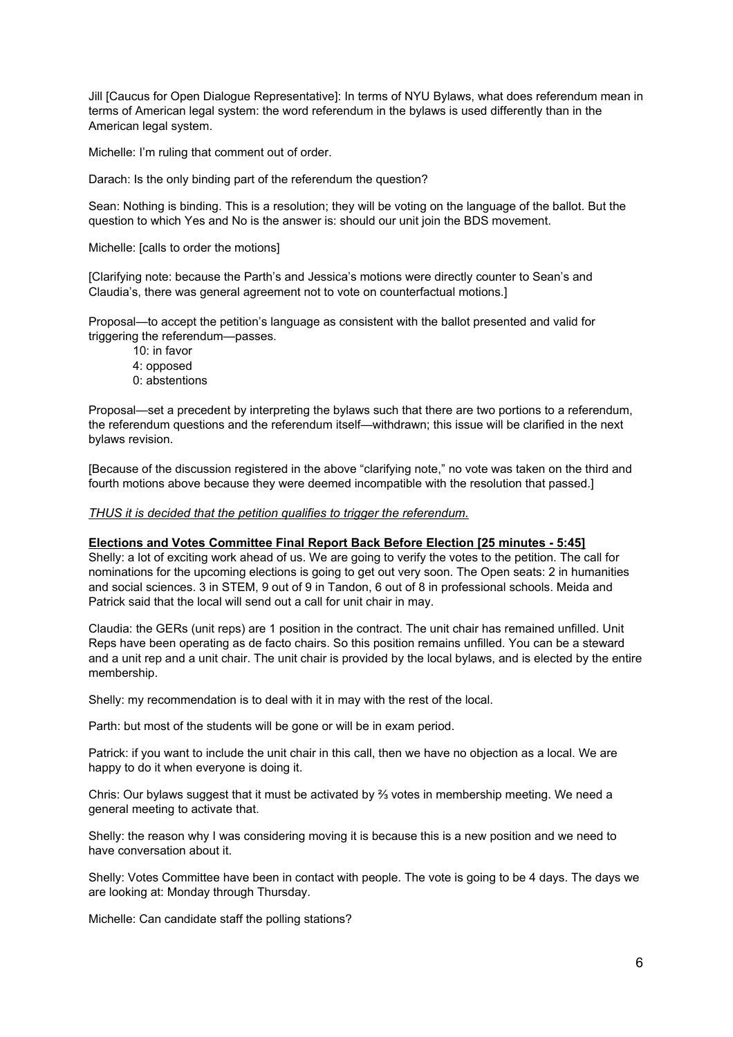Jill [Caucus for Open Dialogue Representative]: In terms of NYU Bylaws, what does referendum mean in terms of American legal system: the word referendum in the bylaws is used differently than in the American legal system.

Michelle: I'm ruling that comment out of order.

Darach: Is the only binding part of the referendum the question?

Sean: Nothing is binding. This is a resolution; they will be voting on the language of the ballot. But the question to which Yes and No is the answer is: should our unit join the BDS movement.

Michelle: [calls to order the motions]

[Clarifying note: because the Parth's and Jessica's motions were directly counter to Sean's and Claudia's, there was general agreement not to vote on counterfactual motions.]

Proposal—to accept the petition's language as consistent with the ballot presented and valid for triggering the referendum—passes.

- 10: in favor
- 4: opposed
- 0: abstentions

Proposal—set a precedent by interpreting the bylaws such that there are two portions to a referendum, the referendum questions and the referendum itself—withdrawn; this issue will be clarified in the next bylaws revision.

[Because of the discussion registered in the above "clarifying note," no vote was taken on the third and fourth motions above because they were deemed incompatible with the resolution that passed.]

*THUS it is decided that the petition qualifies to trigger the referendum.*

#### **Elections and Votes Committee Final Report Back Before Election [25 minutes 5:45]**

Shelly: a lot of exciting work ahead of us. We are going to verify the votes to the petition. The call for nominations for the upcoming elections is going to get out very soon. The Open seats: 2 in humanities and social sciences. 3 in STEM, 9 out of 9 in Tandon, 6 out of 8 in professional schools. Meida and Patrick said that the local will send out a call for unit chair in may.

Claudia: the GERs (unit reps) are 1 position in the contract. The unit chair has remained unfilled. Unit Reps have been operating as de facto chairs. So this position remains unfilled. You can be a steward and a unit rep and a unit chair. The unit chair is provided by the local bylaws, and is elected by the entire membership.

Shelly: my recommendation is to deal with it in may with the rest of the local.

Parth: but most of the students will be gone or will be in exam period.

Patrick: if you want to include the unit chair in this call, then we have no objection as a local. We are happy to do it when everyone is doing it.

Chris: Our bylaws suggest that it must be activated by  $\frac{2}{3}$  votes in membership meeting. We need a general meeting to activate that.

Shelly: the reason why I was considering moving it is because this is a new position and we need to have conversation about it.

Shelly: Votes Committee have been in contact with people. The vote is going to be 4 days. The days we are looking at: Monday through Thursday.

Michelle: Can candidate staff the polling stations?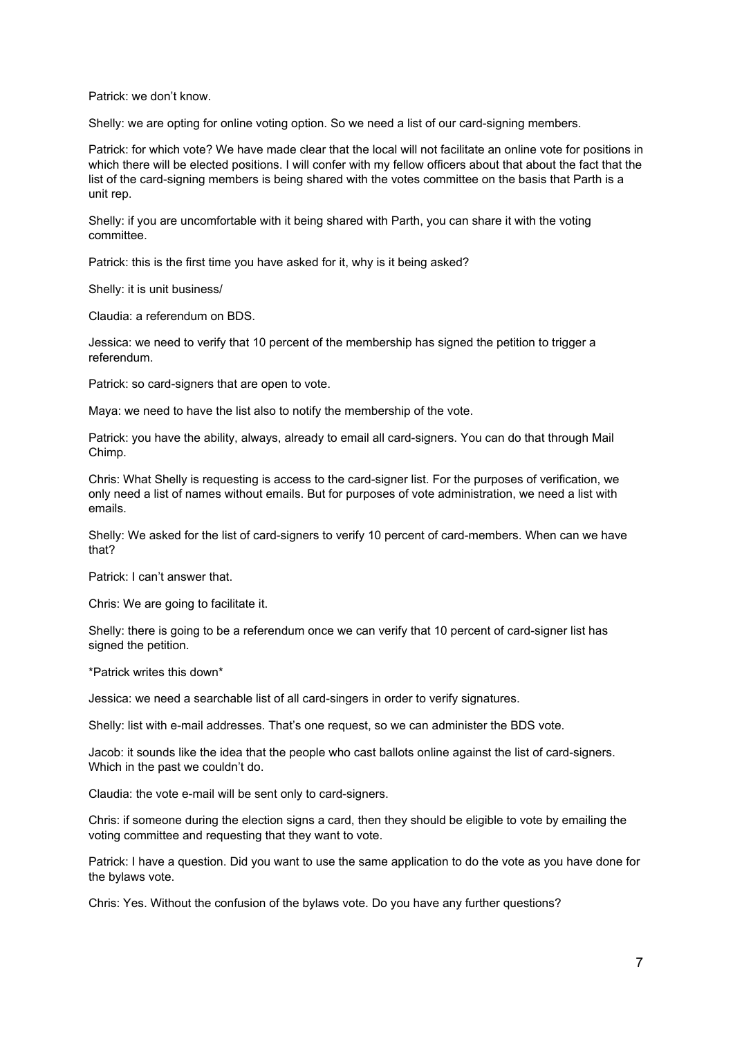Patrick: we don't know.

Shelly: we are opting for online voting option. So we need a list of our card-signing members.

Patrick: for which vote? We have made clear that the local will not facilitate an online vote for positions in which there will be elected positions. I will confer with my fellow officers about that about the fact that the list of the card-signing members is being shared with the votes committee on the basis that Parth is a unit rep.

Shelly: if you are uncomfortable with it being shared with Parth, you can share it with the voting committee.

Patrick: this is the first time you have asked for it, why is it being asked?

Shelly: it is unit business/

Claudia: a referendum on BDS.

Jessica: we need to verify that 10 percent of the membership has signed the petition to trigger a referendum.

Patrick: so card-signers that are open to vote.

Maya: we need to have the list also to notify the membership of the vote.

Patrick: you have the ability, always, already to email all card-signers. You can do that through Mail Chimp.

Chris: What Shelly is requesting is access to the card-signer list. For the purposes of verification, we only need a list of names without emails. But for purposes of vote administration, we need a list with emails.

Shelly: We asked for the list of card-signers to verify 10 percent of card-members. When can we have that?

Patrick: I can't answer that.

Chris: We are going to facilitate it.

Shelly: there is going to be a referendum once we can verify that 10 percent of card-signer list has signed the petition.

\*Patrick writes this down\*

Jessica: we need a searchable list of all card-singers in order to verify signatures.

Shelly: list with e-mail addresses. That's one request, so we can administer the BDS vote.

Jacob: it sounds like the idea that the people who cast ballots online against the list of card-signers. Which in the past we couldn't do.

Claudia: the vote e-mail will be sent only to card-signers.

Chris: if someone during the election signs a card, then they should be eligible to vote by emailing the voting committee and requesting that they want to vote.

Patrick: I have a question. Did you want to use the same application to do the vote as you have done for the bylaws vote.

Chris: Yes. Without the confusion of the bylaws vote. Do you have any further questions?